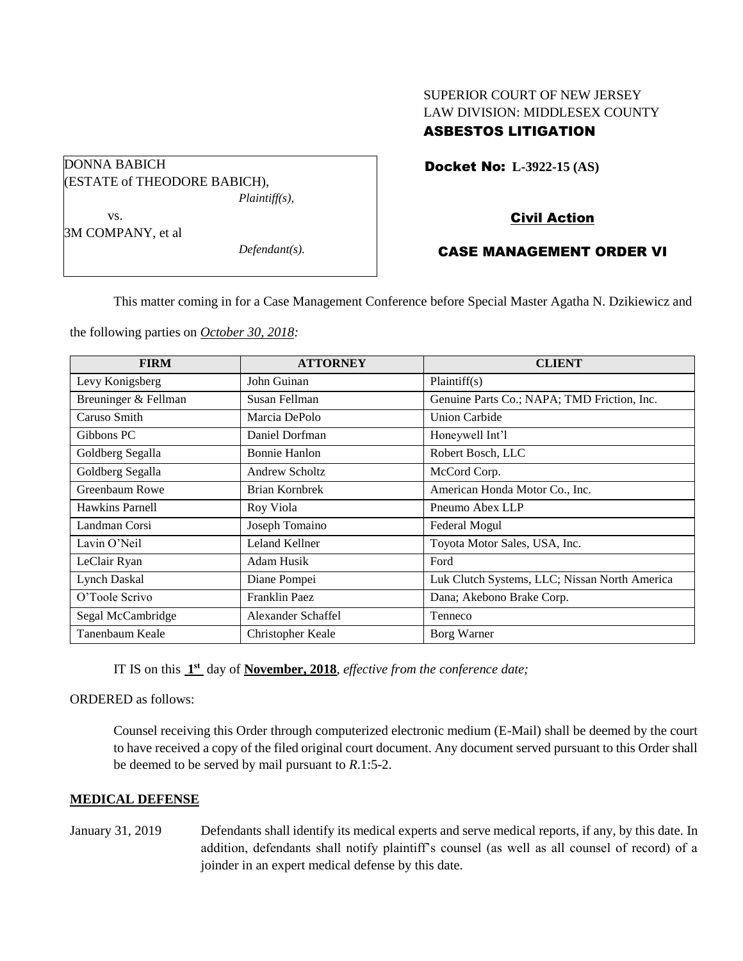# SUPERIOR COURT OF NEW JERSEY LAW DIVISION: MIDDLESEX COUNTY ASBESTOS LITIGATION

Docket No: **L-3922-15 (AS)** 

## Civil Action

## CASE MANAGEMENT ORDER VI

This matter coming in for a Case Management Conference before Special Master Agatha N. Dzikiewicz and

the following parties on *October 30, 2018:*

| <b>FIRM</b>          | <b>ATTORNEY</b>      | <b>CLIENT</b>                                 |
|----------------------|----------------------|-----------------------------------------------|
| Levy Konigsberg      | John Guinan          | Plaintiff(s)                                  |
| Breuninger & Fellman | Susan Fellman        | Genuine Parts Co.; NAPA; TMD Friction, Inc.   |
| Caruso Smith         | Marcia DePolo        | <b>Union Carbide</b>                          |
| Gibbons PC           | Daniel Dorfman       | Honeywell Int'l                               |
| Goldberg Segalla     | <b>Bonnie Hanlon</b> | Robert Bosch, LLC                             |
| Goldberg Segalla     | Andrew Scholtz       | McCord Corp.                                  |
| Greenbaum Rowe       | Brian Kornbrek       | American Honda Motor Co., Inc.                |
| Hawkins Parnell      | Roy Viola            | Pneumo Abex LLP                               |
| Landman Corsi        | Joseph Tomaino       | Federal Mogul                                 |
| Lavin O'Neil         | Leland Kellner       | Toyota Motor Sales, USA, Inc.                 |
| LeClair Ryan         | Adam Husik           | Ford                                          |
| Lynch Daskal         | Diane Pompei         | Luk Clutch Systems, LLC; Nissan North America |
| O'Toole Scrivo       | Franklin Paez        | Dana; Akebono Brake Corp.                     |
| Segal McCambridge    | Alexander Schaffel   | Tenneco                                       |
| Tanenbaum Keale      | Christopher Keale    | Borg Warner                                   |

IT IS on this  $1<sup>st</sup>$  day of **November, 2018**, *effective from the conference date*;

ORDERED as follows:

Counsel receiving this Order through computerized electronic medium (E-Mail) shall be deemed by the court to have received a copy of the filed original court document. Any document served pursuant to this Order shall be deemed to be served by mail pursuant to *R*.1:5-2.

#### **MEDICAL DEFENSE**

January 31, 2019 Defendants shall identify its medical experts and serve medical reports, if any, by this date. In addition, defendants shall notify plaintiff's counsel (as well as all counsel of record) of a joinder in an expert medical defense by this date.

(ESTATE of THEODORE BABICH), vs.

3M COMPANY, et al

DONNA BABICH

*Defendant(s).*

*Plaintiff(s),*